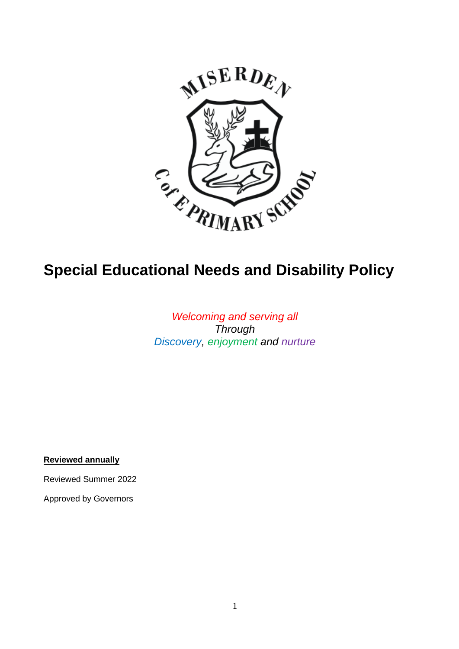

# **Special Educational Needs and Disability Policy**

# *Welcoming and serving all Through Discovery, enjoyment and nurture*

**Reviewed annually** 

Reviewed Summer 2022

Approved by Governors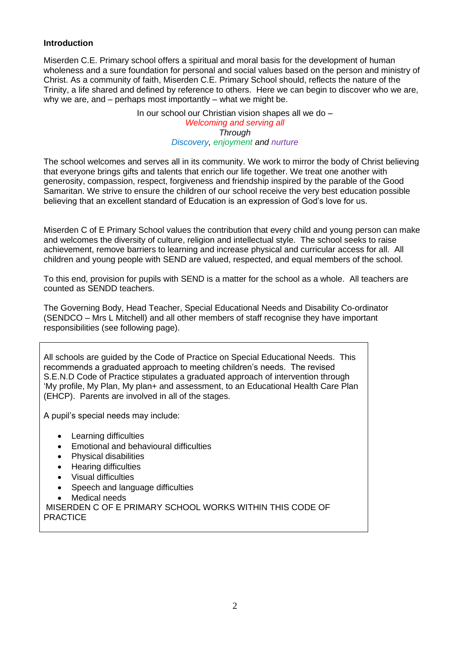## **Introduction**

Miserden C.E. Primary school offers a spiritual and moral basis for the development of human wholeness and a sure foundation for personal and social values based on the person and ministry of Christ. As a community of faith, Miserden C.E. Primary School should, reflects the nature of the Trinity, a life shared and defined by reference to others. Here we can begin to discover who we are, why we are, and – perhaps most importantly – what we might be.

> In our school our Christian vision shapes all we do – *Welcoming and serving all Through Discovery, enjoyment and nurture*

The school welcomes and serves all in its community. We work to mirror the body of Christ believing that everyone brings gifts and talents that enrich our life together. We treat one another with generosity, compassion, respect, forgiveness and friendship inspired by the parable of the Good Samaritan. We strive to ensure the children of our school receive the very best education possible believing that an excellent standard of Education is an expression of God's love for us.

Miserden C of E Primary School values the contribution that every child and young person can make and welcomes the diversity of culture, religion and intellectual style. The school seeks to raise achievement, remove barriers to learning and increase physical and curricular access for all. All children and young people with SEND are valued, respected, and equal members of the school.

To this end, provision for pupils with SEND is a matter for the school as a whole. All teachers are counted as SENDD teachers.

The Governing Body, Head Teacher, Special Educational Needs and Disability Co-ordinator (SENDCO – Mrs L Mitchell) and all other members of staff recognise they have important responsibilities (see following page).

All schools are guided by the Code of Practice on Special Educational Needs. This recommends a graduated approach to meeting children's needs. The revised S.E.N.D Code of Practice stipulates a graduated approach of intervention through 'My profile, My Plan, My plan+ and assessment, to an Educational Health Care Plan (EHCP). Parents are involved in all of the stages.

A pupil's special needs may include:

- Learning difficulties
- Emotional and behavioural difficulties
- Physical disabilities
- Hearing difficulties
- Visual difficulties
- Speech and language difficulties
- Medical needs

MISERDEN C OF E PRIMARY SCHOOL WORKS WITHIN THIS CODE OF **PRACTICE**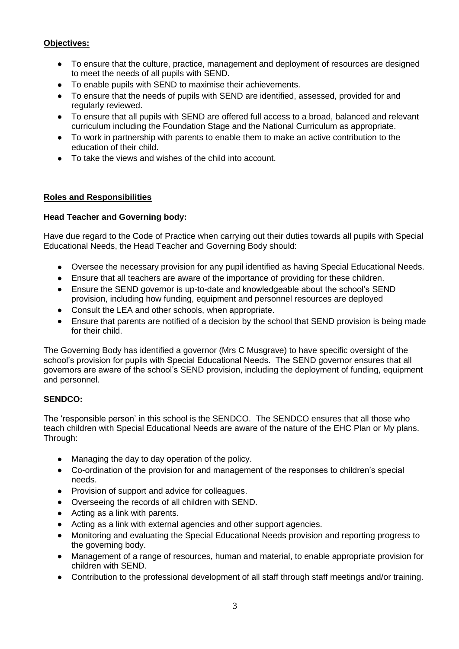## **Objectives:**

- To ensure that the culture, practice, management and deployment of resources are designed to meet the needs of all pupils with SEND.
- To enable pupils with SEND to maximise their achievements.
- To ensure that the needs of pupils with SEND are identified, assessed, provided for and regularly reviewed.
- To ensure that all pupils with SEND are offered full access to a broad, balanced and relevant curriculum including the Foundation Stage and the National Curriculum as appropriate.
- To work in partnership with parents to enable them to make an active contribution to the education of their child.
- To take the views and wishes of the child into account.

## **Roles and Responsibilities**

## **Head Teacher and Governing body:**

Have due regard to the Code of Practice when carrying out their duties towards all pupils with Special Educational Needs, the Head Teacher and Governing Body should:

- Oversee the necessary provision for any pupil identified as having Special Educational Needs.
- Ensure that all teachers are aware of the importance of providing for these children.
- Ensure the SEND governor is up-to-date and knowledgeable about the school's SEND provision, including how funding, equipment and personnel resources are deployed
- Consult the LEA and other schools, when appropriate.
- Ensure that parents are notified of a decision by the school that SEND provision is being made for their child.

The Governing Body has identified a governor (Mrs C Musgrave) to have specific oversight of the school's provision for pupils with Special Educational Needs. The SEND governor ensures that all governors are aware of the school's SEND provision, including the deployment of funding, equipment and personnel.

## **SENDCO:**

The 'responsible person' in this school is the SENDCO. The SENDCO ensures that all those who teach children with Special Educational Needs are aware of the nature of the EHC Plan or My plans. Through:

- Managing the day to day operation of the policy.
- Co-ordination of the provision for and management of the responses to children's special needs.
- Provision of support and advice for colleagues.
- Overseeing the records of all children with SEND.
- Acting as a link with parents.
- Acting as a link with external agencies and other support agencies.
- Monitoring and evaluating the Special Educational Needs provision and reporting progress to the governing body.
- Management of a range of resources, human and material, to enable appropriate provision for children with SEND.
- Contribution to the professional development of all staff through staff meetings and/or training.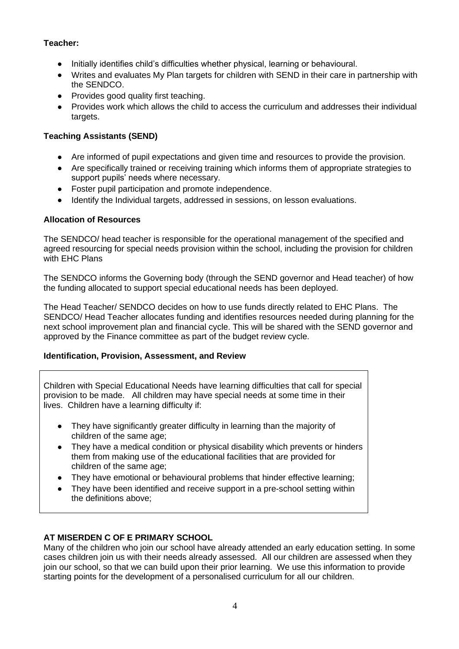## **Teacher:**

- Initially identifies child's difficulties whether physical, learning or behavioural.
- Writes and evaluates My Plan targets for children with SEND in their care in partnership with the SENDCO.
- Provides good quality first teaching.
- Provides work which allows the child to access the curriculum and addresses their individual targets.

# **Teaching Assistants (SEND)**

- Are informed of pupil expectations and given time and resources to provide the provision.
- Are specifically trained or receiving training which informs them of appropriate strategies to support pupils' needs where necessary.
- Foster pupil participation and promote independence.
- Identify the Individual targets, addressed in sessions, on lesson evaluations.

## **Allocation of Resources**

The SENDCO/ head teacher is responsible for the operational management of the specified and agreed resourcing for special needs provision within the school, including the provision for children with EHC Plans

The SENDCO informs the Governing body (through the SEND governor and Head teacher) of how the funding allocated to support special educational needs has been deployed.

The Head Teacher/ SENDCO decides on how to use funds directly related to EHC Plans. The SENDCO/ Head Teacher allocates funding and identifies resources needed during planning for the next school improvement plan and financial cycle. This will be shared with the SEND governor and approved by the Finance committee as part of the budget review cycle.

# **Identification, Provision, Assessment, and Review**

Children with Special Educational Needs have learning difficulties that call for special provision to be made. All children may have special needs at some time in their lives. Children have a learning difficulty if:

- They have significantly greater difficulty in learning than the majority of children of the same age;
- They have a medical condition or physical disability which prevents or hinders them from making use of the educational facilities that are provided for children of the same age;
- They have emotional or behavioural problems that hinder effective learning;
- They have been identified and receive support in a pre-school setting within the definitions above;

# **AT MISERDEN C OF E PRIMARY SCHOOL**

Many of the children who join our school have already attended an early education setting. In some cases children join us with their needs already assessed. All our children are assessed when they join our school, so that we can build upon their prior learning. We use this information to provide starting points for the development of a personalised curriculum for all our children.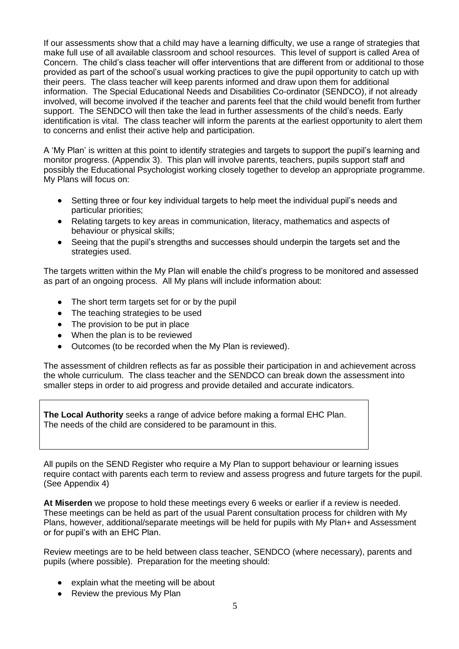If our assessments show that a child may have a learning difficulty, we use a range of strategies that make full use of all available classroom and school resources. This level of support is called Area of Concern. The child's class teacher will offer interventions that are different from or additional to those provided as part of the school's usual working practices to give the pupil opportunity to catch up with their peers. The class teacher will keep parents informed and draw upon them for additional information. The Special Educational Needs and Disabilities Co-ordinator (SENDCO), if not already involved, will become involved if the teacher and parents feel that the child would benefit from further support. The SENDCO will then take the lead in further assessments of the child's needs. Early identification is vital. The class teacher will inform the parents at the earliest opportunity to alert them to concerns and enlist their active help and participation.

A 'My Plan' is written at this point to identify strategies and targets to support the pupil's learning and monitor progress. (Appendix 3). This plan will involve parents, teachers, pupils support staff and possibly the Educational Psychologist working closely together to develop an appropriate programme. My Plans will focus on:

- Setting three or four key individual targets to help meet the individual pupil's needs and particular priorities;
- Relating targets to key areas in communication, literacy, mathematics and aspects of behaviour or physical skills;
- Seeing that the pupil's strengths and successes should underpin the targets set and the strategies used.

The targets written within the My Plan will enable the child's progress to be monitored and assessed as part of an ongoing process. All My plans will include information about:

- The short term targets set for or by the pupil
- The teaching strategies to be used
- The provision to be put in place
- When the plan is to be reviewed
- Outcomes (to be recorded when the My Plan is reviewed).

The assessment of children reflects as far as possible their participation in and achievement across the whole curriculum. The class teacher and the SENDCO can break down the assessment into smaller steps in order to aid progress and provide detailed and accurate indicators.

**The Local Authority** seeks a range of advice before making a formal EHC Plan. The needs of the child are considered to be paramount in this.

All pupils on the SEND Register who require a My Plan to support behaviour or learning issues require contact with parents each term to review and assess progress and future targets for the pupil. (See Appendix 4)

**At Miserden** we propose to hold these meetings every 6 weeks or earlier if a review is needed. These meetings can be held as part of the usual Parent consultation process for children with My Plans, however, additional/separate meetings will be held for pupils with My Plan+ and Assessment or for pupil's with an EHC Plan.

Review meetings are to be held between class teacher, SENDCO (where necessary), parents and pupils (where possible). Preparation for the meeting should:

- explain what the meeting will be about
- Review the previous My Plan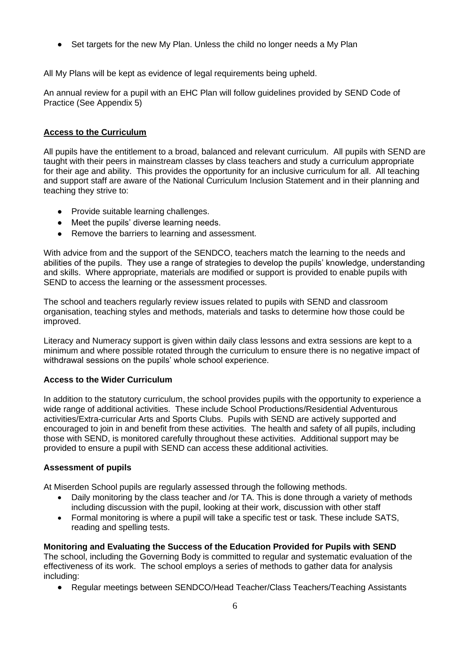• Set targets for the new My Plan. Unless the child no longer needs a My Plan

All My Plans will be kept as evidence of legal requirements being upheld.

An annual review for a pupil with an EHC Plan will follow guidelines provided by SEND Code of Practice (See Appendix 5)

## **Access to the Curriculum**

All pupils have the entitlement to a broad, balanced and relevant curriculum. All pupils with SEND are taught with their peers in mainstream classes by class teachers and study a curriculum appropriate for their age and ability. This provides the opportunity for an inclusive curriculum for all. All teaching and support staff are aware of the National Curriculum Inclusion Statement and in their planning and teaching they strive to:

- Provide suitable learning challenges.
- Meet the pupils' diverse learning needs.
- Remove the barriers to learning and assessment.

With advice from and the support of the SENDCO, teachers match the learning to the needs and abilities of the pupils. They use a range of strategies to develop the pupils' knowledge, understanding and skills. Where appropriate, materials are modified or support is provided to enable pupils with SEND to access the learning or the assessment processes.

The school and teachers regularly review issues related to pupils with SEND and classroom organisation, teaching styles and methods, materials and tasks to determine how those could be improved.

Literacy and Numeracy support is given within daily class lessons and extra sessions are kept to a minimum and where possible rotated through the curriculum to ensure there is no negative impact of withdrawal sessions on the pupils' whole school experience.

#### **Access to the Wider Curriculum**

In addition to the statutory curriculum, the school provides pupils with the opportunity to experience a wide range of additional activities. These include School Productions/Residential Adventurous activities/Extra-curricular Arts and Sports Clubs. Pupils with SEND are actively supported and encouraged to join in and benefit from these activities. The health and safety of all pupils, including those with SEND, is monitored carefully throughout these activities. Additional support may be provided to ensure a pupil with SEND can access these additional activities.

#### **Assessment of pupils**

At Miserden School pupils are regularly assessed through the following methods.

- Daily monitoring by the class teacher and /or TA. This is done through a variety of methods including discussion with the pupil, looking at their work, discussion with other staff
- Formal monitoring is where a pupil will take a specific test or task. These include SATS, reading and spelling tests.

#### **Monitoring and Evaluating the Success of the Education Provided for Pupils with SEND**

The school, including the Governing Body is committed to regular and systematic evaluation of the effectiveness of its work. The school employs a series of methods to gather data for analysis including:

• Regular meetings between SENDCO/Head Teacher/Class Teachers/Teaching Assistants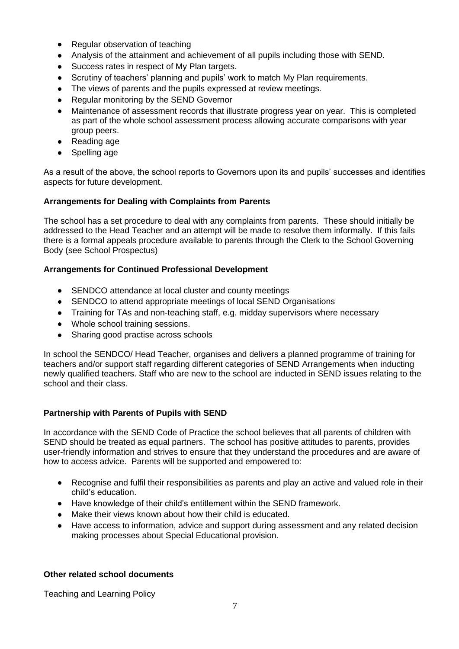- Regular observation of teaching
- Analysis of the attainment and achievement of all pupils including those with SEND.
- Success rates in respect of My Plan targets.
- Scrutiny of teachers' planning and pupils' work to match My Plan requirements.
- The views of parents and the pupils expressed at review meetings.
- Regular monitoring by the SEND Governor
- Maintenance of assessment records that illustrate progress year on year. This is completed as part of the whole school assessment process allowing accurate comparisons with year group peers.
- Reading age
- Spelling age

As a result of the above, the school reports to Governors upon its and pupils' successes and identifies aspects for future development.

## **Arrangements for Dealing with Complaints from Parents**

The school has a set procedure to deal with any complaints from parents. These should initially be addressed to the Head Teacher and an attempt will be made to resolve them informally. If this fails there is a formal appeals procedure available to parents through the Clerk to the School Governing Body (see School Prospectus)

## **Arrangements for Continued Professional Development**

- SENDCO attendance at local cluster and county meetings
- SENDCO to attend appropriate meetings of local SEND Organisations
- Training for TAs and non-teaching staff, e.g. midday supervisors where necessary
- Whole school training sessions.
- Sharing good practise across schools

In school the SENDCO/ Head Teacher, organises and delivers a planned programme of training for teachers and/or support staff regarding different categories of SEND Arrangements when inducting newly qualified teachers. Staff who are new to the school are inducted in SEND issues relating to the school and their class.

#### **Partnership with Parents of Pupils with SEND**

In accordance with the SEND Code of Practice the school believes that all parents of children with SEND should be treated as equal partners. The school has positive attitudes to parents, provides user-friendly information and strives to ensure that they understand the procedures and are aware of how to access advice. Parents will be supported and empowered to:

- Recognise and fulfil their responsibilities as parents and play an active and valued role in their child's education.
- Have knowledge of their child's entitlement within the SEND framework.
- Make their views known about how their child is educated.
- Have access to information, advice and support during assessment and any related decision making processes about Special Educational provision.

#### **Other related school documents**

Teaching and Learning Policy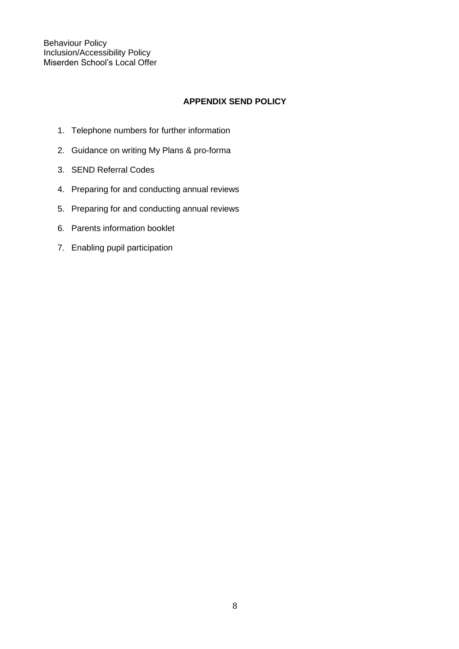Behaviour Policy Inclusion/Accessibility Policy Miserden School's Local Offer

## **APPENDIX SEND POLICY**

- 1. Telephone numbers for further information
- 2. Guidance on writing My Plans & pro-forma
- 3. SEND Referral Codes
- 4. Preparing for and conducting annual reviews
- 5. Preparing for and conducting annual reviews
- 6. Parents information booklet
- 7. Enabling pupil participation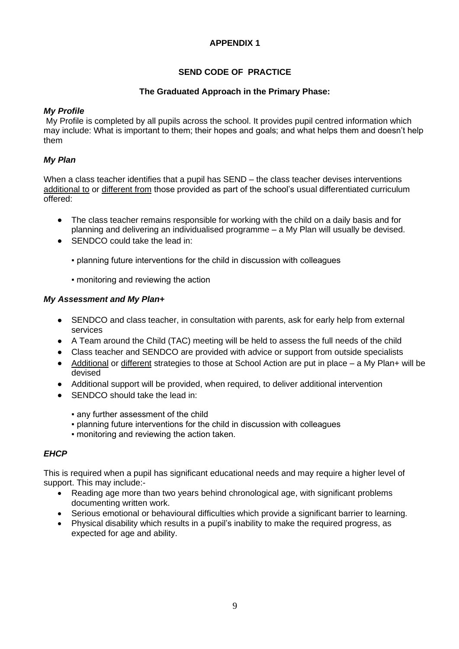# **SEND CODE OF PRACTICE**

## **The Graduated Approach in the Primary Phase:**

## *My Profile*

My Profile is completed by all pupils across the school. It provides pupil centred information which may include: What is important to them; their hopes and goals; and what helps them and doesn't help them

## *My Plan*

When a class teacher identifies that a pupil has SEND – the class teacher devises interventions additional to or different from those provided as part of the school's usual differentiated curriculum offered:

- The class teacher remains responsible for working with the child on a daily basis and for planning and delivering an individualised programme – a My Plan will usually be devised.
- SENDCO could take the lead in:
	- planning future interventions for the child in discussion with colleagues
	- **monitoring and reviewing the action**

## *My Assessment and My Plan+*

- SENDCO and class teacher, in consultation with parents, ask for early help from external services
- A Team around the Child (TAC) meeting will be held to assess the full needs of the child
- Class teacher and SENDCO are provided with advice or support from outside specialists
- Additional or different strategies to those at School Action are put in place a My Plan+ will be devised
- Additional support will be provided, when required, to deliver additional intervention
- SENDCO should take the lead in:
	- any further assessment of the child
	- planning future interventions for the child in discussion with colleagues
	- monitoring and reviewing the action taken.

## *EHCP*

This is required when a pupil has significant educational needs and may require a higher level of support. This may include:-

- Reading age more than two years behind chronological age, with significant problems documenting written work.
- Serious emotional or behavioural difficulties which provide a significant barrier to learning.
- Physical disability which results in a pupil's inability to make the required progress, as expected for age and ability.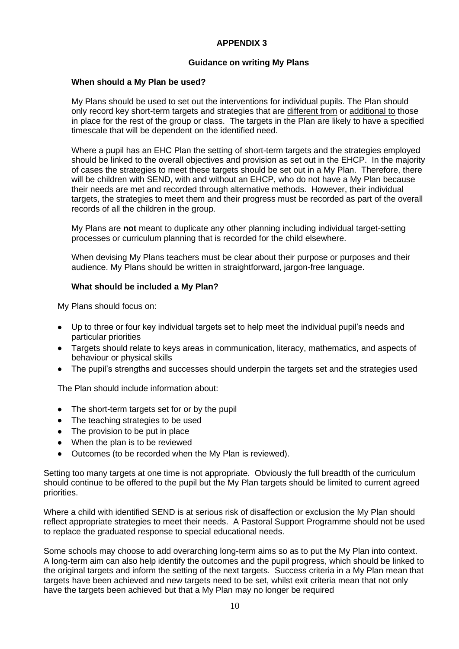#### **Guidance on writing My Plans**

#### **When should a My Plan be used?**

My Plans should be used to set out the interventions for individual pupils. The Plan should only record key short-term targets and strategies that are different from or additional to those in place for the rest of the group or class. The targets in the Plan are likely to have a specified timescale that will be dependent on the identified need.

Where a pupil has an EHC Plan the setting of short-term targets and the strategies employed should be linked to the overall objectives and provision as set out in the EHCP. In the majority of cases the strategies to meet these targets should be set out in a My Plan. Therefore, there will be children with SEND, with and without an EHCP, who do not have a My Plan because their needs are met and recorded through alternative methods. However, their individual targets, the strategies to meet them and their progress must be recorded as part of the overall records of all the children in the group.

My Plans are **not** meant to duplicate any other planning including individual target-setting processes or curriculum planning that is recorded for the child elsewhere.

When devising My Plans teachers must be clear about their purpose or purposes and their audience. My Plans should be written in straightforward, jargon-free language.

#### **What should be included a My Plan?**

My Plans should focus on:

- Up to three or four key individual targets set to help meet the individual pupil's needs and particular priorities
- Targets should relate to keys areas in communication, literacy, mathematics, and aspects of behaviour or physical skills
- The pupil's strengths and successes should underpin the targets set and the strategies used

The Plan should include information about:

- The short-term targets set for or by the pupil
- The teaching strategies to be used
- The provision to be put in place
- When the plan is to be reviewed
- Outcomes (to be recorded when the My Plan is reviewed).

Setting too many targets at one time is not appropriate. Obviously the full breadth of the curriculum should continue to be offered to the pupil but the My Plan targets should be limited to current agreed priorities.

Where a child with identified SEND is at serious risk of disaffection or exclusion the My Plan should reflect appropriate strategies to meet their needs. A Pastoral Support Programme should not be used to replace the graduated response to special educational needs.

Some schools may choose to add overarching long-term aims so as to put the My Plan into context. A long-term aim can also help identify the outcomes and the pupil progress, which should be linked to the original targets and inform the setting of the next targets. Success criteria in a My Plan mean that targets have been achieved and new targets need to be set, whilst exit criteria mean that not only have the targets been achieved but that a My Plan may no longer be required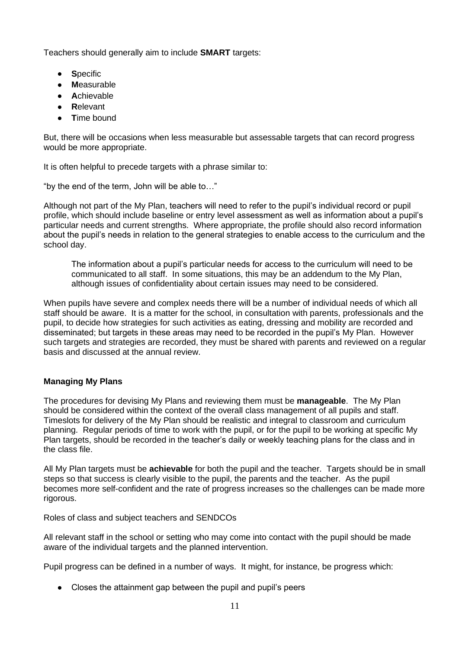Teachers should generally aim to include **SMART** targets:

- **S**pecific
- **M**easurable
- **A**chievable
- **R**elevant
- **T**ime bound

But, there will be occasions when less measurable but assessable targets that can record progress would be more appropriate.

It is often helpful to precede targets with a phrase similar to:

"by the end of the term, John will be able to…"

Although not part of the My Plan, teachers will need to refer to the pupil's individual record or pupil profile, which should include baseline or entry level assessment as well as information about a pupil's particular needs and current strengths. Where appropriate, the profile should also record information about the pupil's needs in relation to the general strategies to enable access to the curriculum and the school day.

The information about a pupil's particular needs for access to the curriculum will need to be communicated to all staff. In some situations, this may be an addendum to the My Plan, although issues of confidentiality about certain issues may need to be considered.

When pupils have severe and complex needs there will be a number of individual needs of which all staff should be aware. It is a matter for the school, in consultation with parents, professionals and the pupil, to decide how strategies for such activities as eating, dressing and mobility are recorded and disseminated; but targets in these areas may need to be recorded in the pupil's My Plan. However such targets and strategies are recorded, they must be shared with parents and reviewed on a regular basis and discussed at the annual review.

## **Managing My Plans**

The procedures for devising My Plans and reviewing them must be **manageable**. The My Plan should be considered within the context of the overall class management of all pupils and staff. Timeslots for delivery of the My Plan should be realistic and integral to classroom and curriculum planning. Regular periods of time to work with the pupil, or for the pupil to be working at specific My Plan targets, should be recorded in the teacher's daily or weekly teaching plans for the class and in the class file.

All My Plan targets must be **achievable** for both the pupil and the teacher. Targets should be in small steps so that success is clearly visible to the pupil, the parents and the teacher. As the pupil becomes more self-confident and the rate of progress increases so the challenges can be made more rigorous.

Roles of class and subject teachers and SENDCOs

All relevant staff in the school or setting who may come into contact with the pupil should be made aware of the individual targets and the planned intervention.

Pupil progress can be defined in a number of ways. It might, for instance, be progress which:

• Closes the attainment gap between the pupil and pupil's peers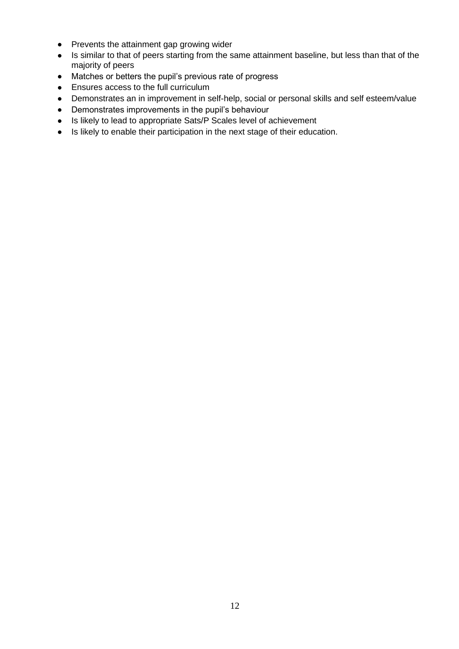- Prevents the attainment gap growing wider
- Is similar to that of peers starting from the same attainment baseline, but less than that of the majority of peers
- Matches or betters the pupil's previous rate of progress
- Ensures access to the full curriculum
- Demonstrates an in improvement in self-help, social or personal skills and self esteem/value
- Demonstrates improvements in the pupil's behaviour
- Is likely to lead to appropriate Sats/P Scales level of achievement
- Is likely to enable their participation in the next stage of their education.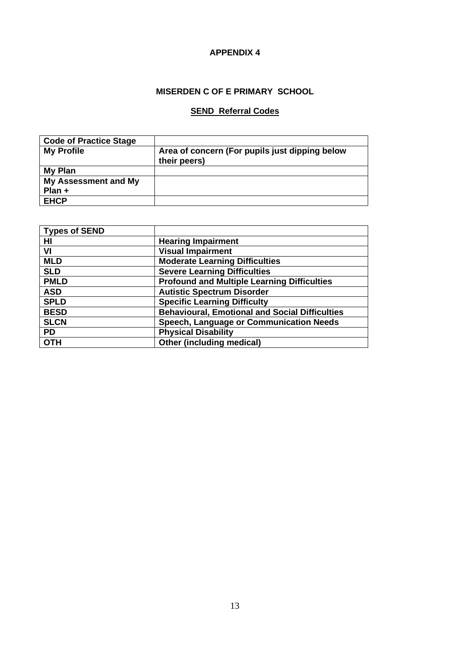# **MISERDEN C OF E PRIMARY SCHOOL**

## **SEND Referral Codes**

| <b>Code of Practice Stage</b> |                                                                |
|-------------------------------|----------------------------------------------------------------|
| <b>My Profile</b>             | Area of concern (For pupils just dipping below<br>their peers) |
| My Plan                       |                                                                |
| <b>My Assessment and My</b>   |                                                                |
| Plan +                        |                                                                |
| <b>EHCP</b>                   |                                                                |

| <b>Types of SEND</b> |                                                       |
|----------------------|-------------------------------------------------------|
| H <sub>II</sub>      | <b>Hearing Impairment</b>                             |
| VI                   | <b>Visual Impairment</b>                              |
| <b>MLD</b>           | <b>Moderate Learning Difficulties</b>                 |
| <b>SLD</b>           | <b>Severe Learning Difficulties</b>                   |
| <b>PMLD</b>          | <b>Profound and Multiple Learning Difficulties</b>    |
| <b>ASD</b>           | <b>Autistic Spectrum Disorder</b>                     |
| <b>SPLD</b>          | <b>Specific Learning Difficulty</b>                   |
| <b>BESD</b>          | <b>Behavioural, Emotional and Social Difficulties</b> |
| <b>SLCN</b>          | <b>Speech, Language or Communication Needs</b>        |
| <b>PD</b>            | <b>Physical Disability</b>                            |
| <b>OTH</b>           | Other (including medical)                             |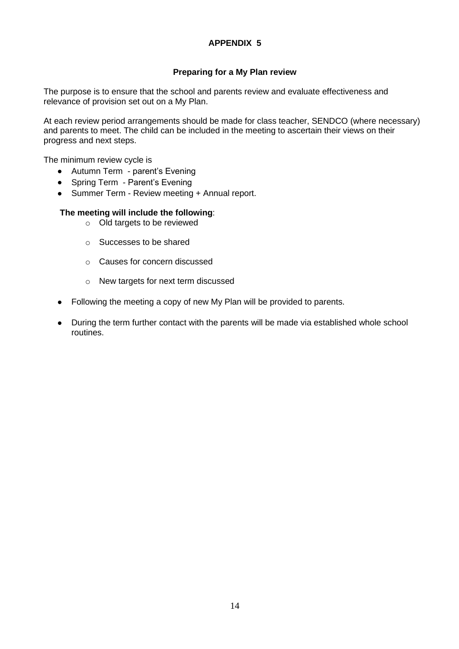## **Preparing for a My Plan review**

The purpose is to ensure that the school and parents review and evaluate effectiveness and relevance of provision set out on a My Plan.

At each review period arrangements should be made for class teacher, SENDCO (where necessary) and parents to meet. The child can be included in the meeting to ascertain their views on their progress and next steps.

The minimum review cycle is

- Autumn Term parent's Evening
- Spring Term Parent's Evening
- Summer Term Review meeting + Annual report.

#### **The meeting will include the following**:

- o Old targets to be reviewed
- o Successes to be shared
- o Causes for concern discussed
- o New targets for next term discussed
- Following the meeting a copy of new My Plan will be provided to parents.
- During the term further contact with the parents will be made via established whole school routines.